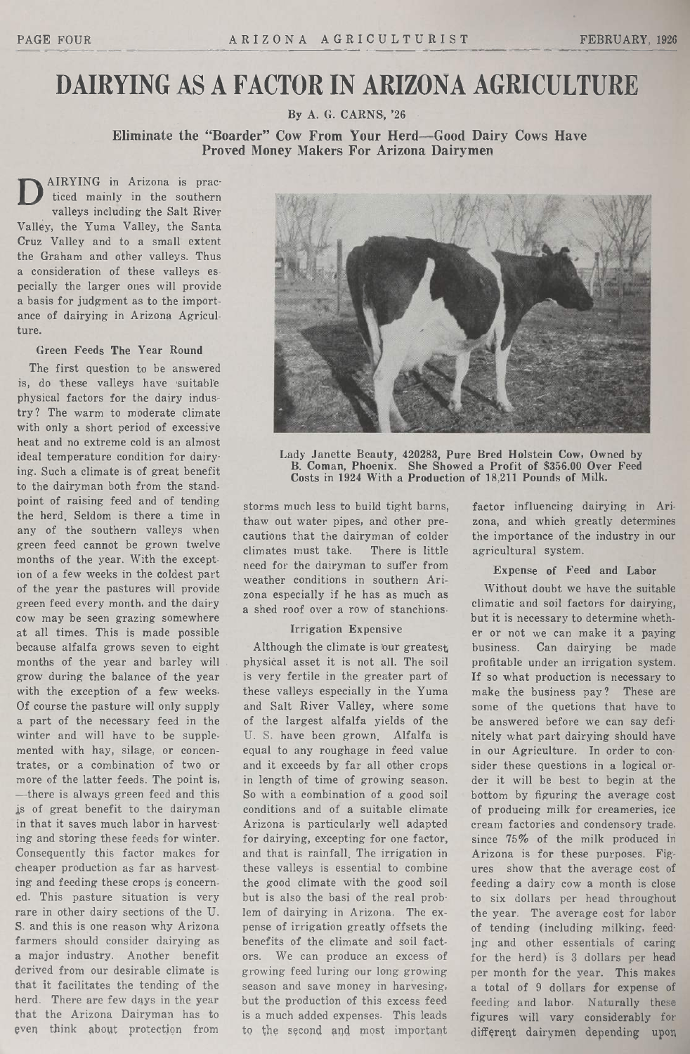# DAIRYING AS A FACTOR IN ARIZONA AGRICULTURE

By A. G. CARNS, '26

Eliminate the "Boarder" Cow From Your Herd-Good Dairy Cows Have Proved Money Makers For Arizona Dairymen

 $\sum$  AIRYING in Arizona is pracvalleys including the Salt River Valley, the Yuma Valley, the Santa Cruz Valley and to <sup>a</sup> small extent the Graham and other valleys. Thus a consideration of these valleys especially the larger ones will provide <sup>a</sup> basis for judgment as to the importance of dairying in Arizona Agriculture.

### Green Feeds The Year Round

The first question to be answered is, do these valleys have suitable physical factors for the dairy industry? The warm to moderate climate with only <sup>a</sup> short period of excessive heat and no extreme cold is an almost ideal temperature condition for dairying. Such <sup>a</sup> climate is of great benefit to the dairyman both from the standpoint of raising feed and of tending the herd. Seldom is there <sup>a</sup> time in any of the southern valleys when green feed cannot be grown twelve months of the year. With the exception of <sup>a</sup> few weeks in the coldest part of the year the pastures will provide green feed every month, and the dairy cow may be seen grazing somewhere at all times. This is made possible because alfalfa grows seven to eight months of the year and barley will grow during the balance of the year with the exception of <sup>a</sup> few weeks. Of course the pasture will only supply <sup>a</sup> part of the necessary feed in the winter and will have to be supplemented with hay, silage, or concentrates, or <sup>a</sup> combination of two or more of the latter feeds. The point is, -there is always green feed and this is of great benefit to the dairyman in that it saves much labor in harvesting and storing these feeds for winter. Consequently this factor makes for cheaper production as far as harvesting and feeding these crops is concerned. This pasture situation is very rare in other dairy sections of the U. S. and this is one reason why Arizona farmers should consider dairying as <sup>a</sup> major industry. Another benefit derived from our desirable climate is that it facilitates the tending of the herd. There are few days in the year that the Arizona Dairyman has to even think about protection from



Lady Janette Beauty, 420283, Pure Bred Holstein Cow, Owned by B. Coman, Phoenix. She Showed <sup>a</sup> Profit of \$356.00 Over Feed Costs in 1924 With a Production of 18,211 Pounds of Milk.

storms much less to build tight barns, thaw out water pipes, and other precautions that the dairyman of colder<br>climates must take. There is little climates must take. need for the dairyman to suffer from weather conditions in southern Arizona especially if he has as much as a shed roof over a row of stanchions.

#### Irrigation Expensive

Although the climate is our greatest physical asset it is not all. The soil is very fertile in the greater part of these valleys especially in the Yuma and Salt River Valley, where some of the largest alfalfa yields of the U. S. have been grown. Alfalfa is equal to any roughage in feed value and it exceeds by far all other crops in length of time of growing season. So with <sup>a</sup> combination of <sup>a</sup> good soil conditions and of a suitable climate Arizona is particularly well adapted for dairying, excepting for one factor, and that is rainfall. The irrigation in these valleys is essential to combine the good climate with the good soil but is also the basi of the real problem of dairying in Arizona. The expense of irrigation greatly offsets the benefits of the climate and soil factors. We can produce an excess of growing feed luring our long growing season and save money in harvesing. but the production of this excess feed is a much added expenses. This leads to the second and most important

factor influencing dairying in Arizona, and which greatly determines the importance of the industry in our agricultural system.

#### Expense of Feed and Labor

Without doubt we have the suitable climatic and soil factors for dairying, but it is necessary to determine whether or not we can make it <sup>a</sup> paying business. Can dairying he made profitable under an irrigation system. If so what production is necessary to make the business pay? These are some of the quetions that have to be answered before we can say definitely what part dairying should have in our Agriculture. In order to consider these questions in <sup>a</sup> logical order it will be best to begin at the bottom by figuring the average cost of producing milk for creameries, ice cream factories and condensory trade. since 75% of the milk produced in Arizona is for these purposes. Figures show that the average cost of feeding <sup>a</sup> dairy cow a month is close to six dollars per head throughout the year. The average cost for labor of tending (including milking, feeding and other essentials of caring for the herd) is <sup>3</sup> dollars per head per month for the year. This makes <sup>a</sup> total of <sup>9</sup> dollars for expense of feeding and labor. Naturally these figures will vary considerably for different dairymen depending upon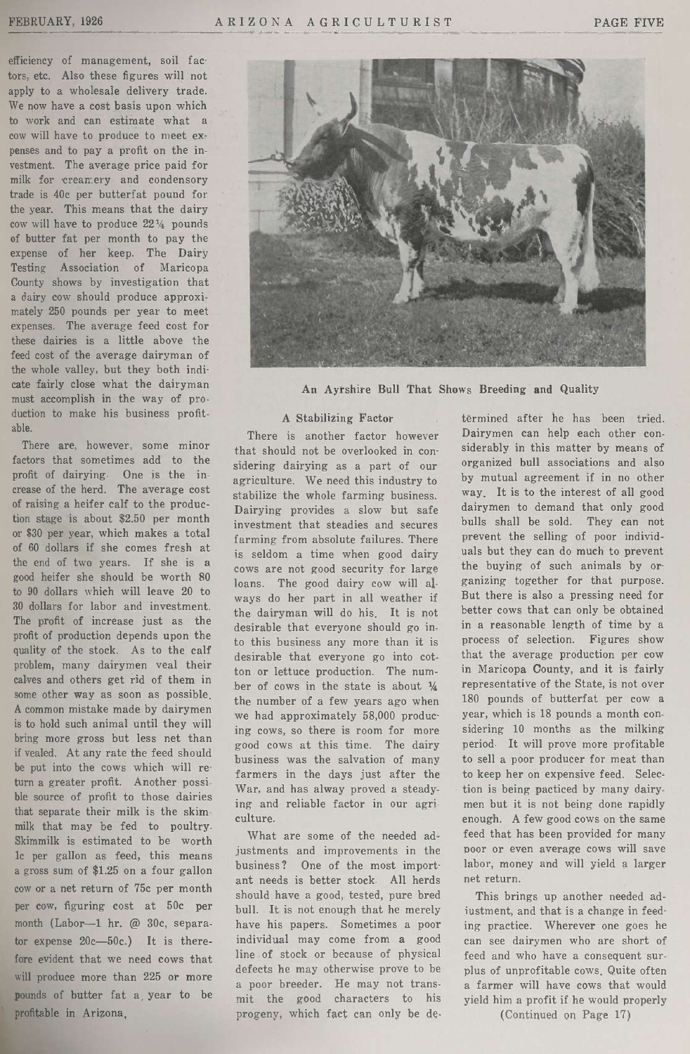efficiency of management, soil factors, etc. Also these figures will not apply to <sup>a</sup> wholesale delivery trade. We now have a cost basis upon which to work and can estimate what a cow will have to produce to meet expenses and to pay <sup>a</sup> profit on the investment. The average price paid for milk for creamery and condensory trade is 40c per butterfat pound for the year. This means that the dairy cow will have to produce  $22\frac{1}{4}$  pounds of butter fat per month to pay the expense of her keep. The Dairy Testing Association of Maricopa County shows by investigation that <sup>a</sup> dairy cow should produce approximately <sup>250</sup> pounds per year to meet expenses. The average feed cost for these dairies is <sup>a</sup> little above the feed cost of the average dairyman of the whole valley, but they both indicate fairly close what the dairyman must accomplish in the way of production to make his business profitable.

There are, however, some minor factors that sometimes add to the profit of dairying. One is the increase of the herd. The average cost of raising <sup>a</sup> heifer calf to the production stage is about \$2.50 per month or <sup>830</sup> per year, which makes <sup>a</sup> total of <sup>60</sup> dollars if she comes fresh at the end of two years. If she is <sup>a</sup> good heifer she should be worth 80 to <sup>90</sup> dollars which will leave 20 to <sup>30</sup> dollars for labor and investment. The profit of increase just as the profit of production depends upon the quality of the stock. As to the calf problem, many dairymen veal their calves and others get rid of them in some other way as soon as possible. A common mistake made by dairymen is to hold such animal until they will bring more gross but less net than if vealed. At any rate the feed should be put into the cows which will return <sup>a</sup> greater profit. Another possible source of profit to those dairies that separate their milk is the skimmilk that may be fed to poultry. Skimmilk is estimated to be worth lc per gallon as feed, this means <sup>a</sup> gross sum of \$1.25 on <sup>a</sup> four gallon cow or <sup>a</sup> net return of 75c per month per cow, figuring cost at 50c per month (Labor-1 hr. @ 30c, separator expense  $20c-50c$ .) It is therefore evident that we need cows that will produce more than 225 or more pounds of butter fat a, year to be profitable in Arizona,



An Ayrshire Bull That Shows Breeding and Quality

#### A Stabilizing Factor

There is another factor however that should not be overlooked in considering dairying as a part of our agriculture. We need this industry to stabilize the whole farming business. Dairying provides <sup>a</sup> slow but safe investment that steadies and secures farming from absolute failures. There is seldom a time when good dairy cows are not good security for large loans. The good dairy cow will always do her part in all weather if the dairyman will do his. It is not desirable that everyone should go into this business any more than it is desirable that everyone go into cotton or lettuce production. The number of cows in the state is about  $\frac{1}{4}$ the number of <sup>a</sup> few years ago when we had approximately 58,000 producing cows, so there is room for more good cows at this time. The dairy business was the salvation of many farmers in the days just after the War, and has alway proved a steadying and reliable factor in our agriculture.

What are some of the needed adjustments and improvements in the One of the most important needs is better stock. All herds should have a good, tested, pure bred bull. It is not enough that he merely have his papers. Sometimes a poor individual may come from a good line, of stock or because of physical defects he may otherwise prove to be <sup>a</sup> poor breeder. He may not transmit the good characters to his progeny, which fact can only be de-

termined after he has been tried. Dairymen can help each other considerably in this matter by means of organized bull associations and also by mutual agreement if in no other way. It is to the interest of all good dairymen to demand that only good bulls shall be sold. They can not prevent the selling of poor individuals but they can do much to prevent the buying of such animals by organizing together for that purpose. But there is also <sup>a</sup> pressing need for better cows that can only be obtained in a reasonable length of time by <sup>a</sup> process of selection. Figures show that the average production per cow in Maricopa Oounty, and it is fairly representative of the State, is not over <sup>180</sup> pounds of butterfat per cow <sup>a</sup> year, which is <sup>18</sup> pounds a month considering <sup>10</sup> months as the milking period. It will prove more profitable to sell <sup>a</sup> poor producer for meat than to keep her on expensive feed. Selection is being pacticed by many dairymen but it is not being done rapidly enough. A few good cows on the same feed that has been provided for many poor or even average cows will save labor, money and will yield <sup>a</sup> larger net return.

This brings up another needed adjustment, and that is <sup>a</sup> change in feeding practice. Wherever one goes he can see dairymen who are short of feed and who have a consequent surplus of unprofitable cows, Quite often a farmer will have cows that would yield him <sup>a</sup> profit if he would properly

(Continued on Page 17)